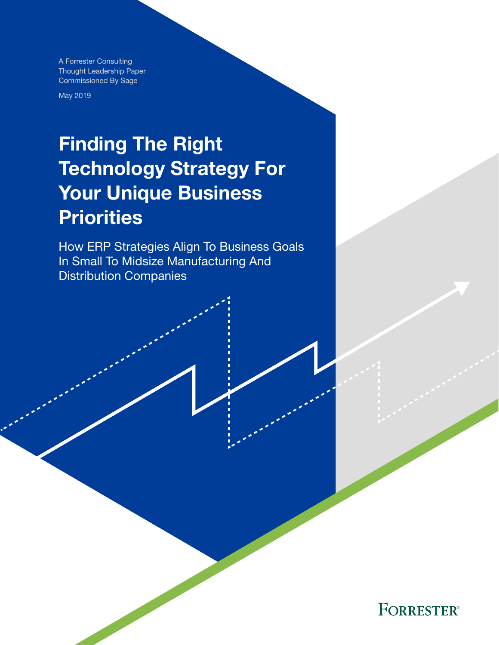A Forrester Consulting Thought Leadership Paper Commissioned By Sage

May 2019

# Finding The Right Technology Strategy For Your Unique Business **Priorities**

How ERP Strategies Align To Business Goals In Small To Midsize Manufacturing And Distribution Companies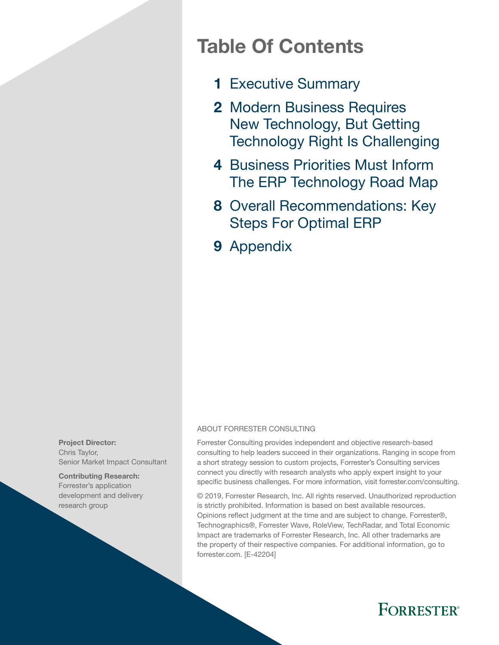## Table Of Contents

- 1 [Executive Summary](#page-2-0)
- 2 Modern Business Requires [New Technology, But Getting](#page-3-0)  [Technology Right Is Challenging](#page-3-0)
- 4 Business Priorities Must Inform [The ERP Technology Road Map](#page-5-0)
- 8 Overall Recommendations: Key [Steps For Optimal ERP](#page-9-0)
- 9 [Appendix](#page-10-0)

Project Director: Chris Taylor, Senior Market Impact Consultant

Contributing Research: Forrester's application development and delivery research group

#### ABOUT FORRESTER CONSULTING

Forrester Consulting provides independent and objective research-based consulting to help leaders succeed in their organizations. Ranging in scope from a short strategy session to custom projects, Forrester's Consulting services connect you directly with research analysts who apply expert insight to your specific business challenges. For more information, visit forrester.com/consulting.

© 2019, Forrester Research, Inc. All rights reserved. Unauthorized reproduction is strictly prohibited. Information is based on best available resources. Opinions reflect judgment at the time and are subject to change. Forrester®, Technographics®, Forrester Wave, RoleView, TechRadar, and Total Economic Impact are trademarks of Forrester Research, Inc. All other trademarks are the property of their respective companies. For additional information, go to forrester.com. [E-42204]

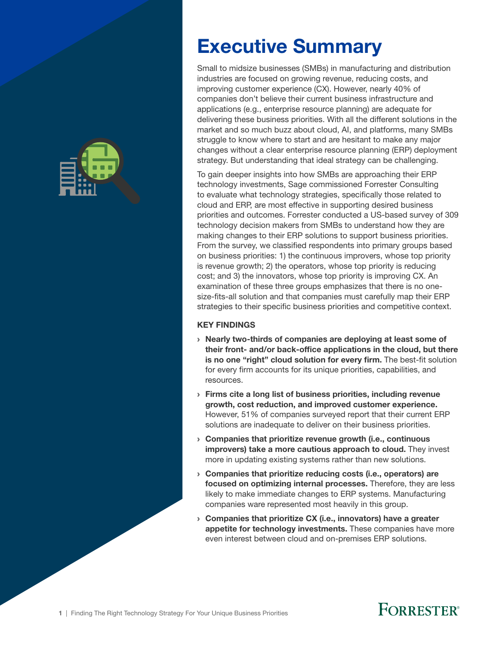<span id="page-2-0"></span>

# Executive Summary

Small to midsize businesses (SMBs) in manufacturing and distribution industries are focused on growing revenue, reducing costs, and improving customer experience (CX). However, nearly 40% of companies don't believe their current business infrastructure and applications (e.g., enterprise resource planning) are adequate for delivering these business priorities. With all the different solutions in the market and so much buzz about cloud, AI, and platforms, many SMBs struggle to know where to start and are hesitant to make any major changes without a clear enterprise resource planning (ERP) deployment strategy. But understanding that ideal strategy can be challenging.

To gain deeper insights into how SMBs are approaching their ERP technology investments, Sage commissioned Forrester Consulting to evaluate what technology strategies, specifically those related to cloud and ERP, are most effective in supporting desired business priorities and outcomes. Forrester conducted a US-based survey of 309 technology decision makers from SMBs to understand how they are making changes to their ERP solutions to support business priorities. From the survey, we classified respondents into primary groups based on business priorities: 1) the continuous improvers, whose top priority is revenue growth; 2) the operators, whose top priority is reducing cost; and 3) the innovators, whose top priority is improving CX. An examination of these three groups emphasizes that there is no onesize-fits-all solution and that companies must carefully map their ERP strategies to their specific business priorities and competitive context.

### KEY FINDINGS

- › Nearly two-thirds of companies are deploying at least some of their front- and/or back-office applications in the cloud, but there is no one "right" cloud solution for every firm. The best-fit solution for every firm accounts for its unique priorities, capabilities, and resources.
- › Firms cite a long list of business priorities, including revenue growth, cost reduction, and improved customer experience. However, 51% of companies surveyed report that their current ERP solutions are inadequate to deliver on their business priorities.
- $\rightarrow$  Companies that prioritize revenue growth (i.e., continuous improvers) take a more cautious approach to cloud. They invest more in updating existing systems rather than new solutions.
- › Companies that prioritize reducing costs (i.e., operators) are focused on optimizing internal processes. Therefore, they are less likely to make immediate changes to ERP systems. Manufacturing companies ware represented most heavily in this group.
- › Companies that prioritize CX (i.e., innovators) have a greater appetite for technology investments. These companies have more even interest between cloud and on-premises ERP solutions.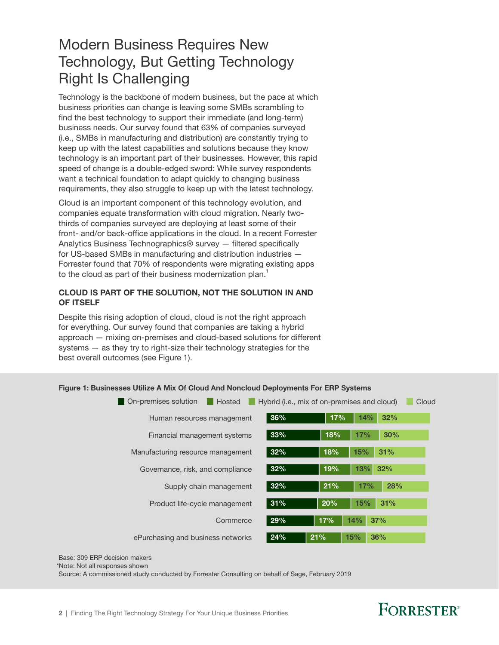### <span id="page-3-0"></span>Modern Business Requires New Technology, But Getting Technology Right Is Challenging

Technology is the backbone of modern business, but the pace at which business priorities can change is leaving some SMBs scrambling to find the best technology to support their immediate (and long-term) business needs. Our survey found that 63% of companies surveyed (i.e., SMBs in manufacturing and distribution) are constantly trying to keep up with the latest capabilities and solutions because they know technology is an important part of their businesses. However, this rapid speed of change is a double-edged sword: While survey respondents want a technical foundation to adapt quickly to changing business requirements, they also struggle to keep up with the latest technology.

Cloud is an important component of this technology evolution, and companies equate transformation with cloud migration. Nearly twothirds of companies surveyed are deploying at least some of their front- and/or back-office applications in the cloud. In a recent Forrester Analytics Business Technographics® survey — filtered specifically for US-based SMBs in manufacturing and distribution industries — Forrester found that 70% of respondents were migrating existing apps to the cloud as part of their business modernization plan.<sup>1</sup>

#### CLOUD IS PART OF THE SOLUTION, NOT THE SOLUTION IN AND OF ITSELF

Despite this rising adoption of cloud, cloud is not the right approach for everything. Our survey found that companies are taking a hybrid approach — mixing on-premises and cloud-based solutions for different systems — as they try to right-size their technology strategies for the best overall outcomes (see Figure 1).

| On-premises solution<br>Hosted    | Hybrid (i.e., mix of on-premises and cloud) |     |     |     | Cloud |
|-----------------------------------|---------------------------------------------|-----|-----|-----|-------|
| Human resources management        | 36%                                         | 17% | 14% | 32% |       |
| Financial management systems      | 33%                                         | 18% | 17% | 30% |       |
| Manufacturing resource management | 32%                                         | 18% | 15% | 31% |       |
| Governance, risk, and compliance  | 32%                                         | 19% | 13% | 32% |       |
| Supply chain management           | 32%                                         | 21% | 17% | 28% |       |
| Product life-cycle management     | 31%                                         | 20% | 15% | 31% |       |
| Commerce                          | 29%                                         | 17% | 14% | 37% |       |
| ePurchasing and business networks | 24%                                         | 21% | 15% | 36% |       |

#### Figure 1: Businesses Utilize A Mix Of Cloud And Noncloud Deployments For ERP Systems

Base: 309 ERP decision makers

\*Note: Not all responses shown

Source: A commissioned study conducted by Forrester Consulting on behalf of Sage, February 2019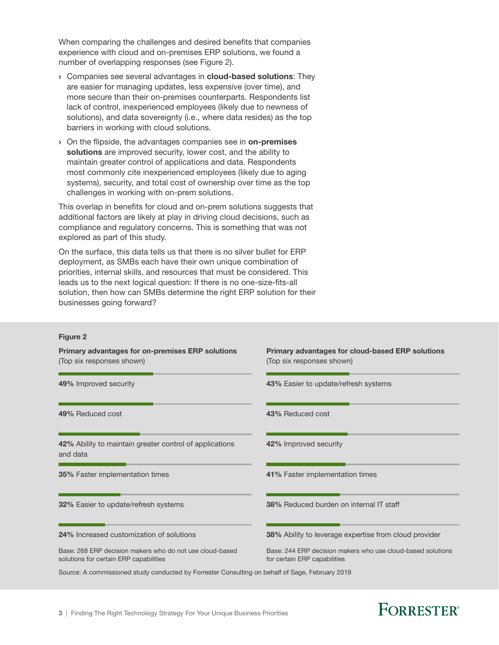When comparing the challenges and desired benefits that companies experience with cloud and on-premises ERP solutions, we found a number of overlapping responses (see Figure 2).

- **> Companies see several advantages in cloud-based solutions:** They are easier for managing updates, less expensive (over time), and more secure than their on-premises counterparts. Respondents list lack of control, inexperienced employees (likely due to newness of solutions), and data sovereignty (i.e., where data resides) as the top barriers in working with cloud solutions.
- > On the flipside, the advantages companies see in on-premises solutions are improved security, lower cost, and the ability to maintain greater control of applications and data. Respondents most commonly cite inexperienced employees (likely due to aging systems), security, and total cost of ownership over time as the top challenges in working with on-prem solutions.

This overlap in benefits for cloud and on-prem solutions suggests that additional factors are likely at play in driving cloud decisions, such as compliance and regulatory concerns. This is something that was not explored as part of this study.

On the surface, this data tells us that there is no silver bullet for ERP deployment, as SMBs each have their own unique combination of priorities, internal skills, and resources that must be considered. This leads us to the next logical question: If there is no one-size-fits-all solution, then how can SMBs determine the right ERP solution for their businesses going forward?

#### Figure 2

Source: A commissioned study conducted by Forrester Consulting on behalf of Sage, February 2019 Base: 268 ERP decision makers who do not use cloud-based solutions for certain ERP capabilities Base: 244 ERP decision makers who use cloud-based solutions for certain ERP capabilities 49% Improved security 43% Easier to update/refresh systems 49% Reduced cost **43% Reduced cost** 43% Reduced cost 42% Ability to maintain greater control of applications and data 42% Improved security 35% Faster implementation times 41% Faster implementation times 32% Easier to update/refresh systems 38% Reduced burden on internal IT staff 24% Increased customization of solutions 38% Ability to leverage expertise from cloud provider Primary advantages for on-premises ERP solutions (Top six responses shown) Primary advantages for cloud-based ERP solutions (Top six responses shown)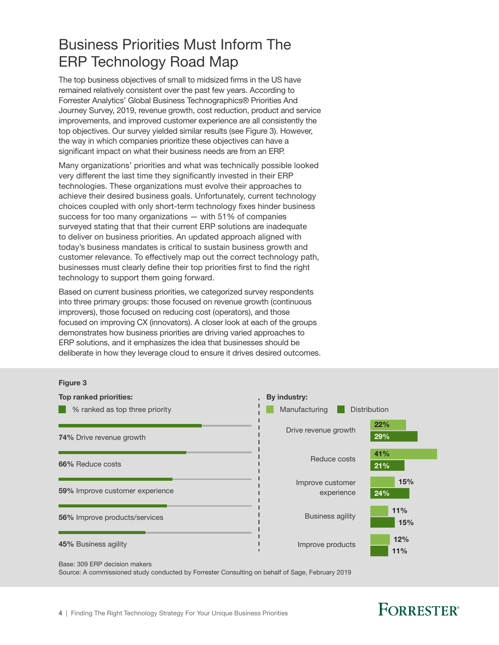### <span id="page-5-0"></span>Business Priorities Must Inform The ERP Technology Road Map

The top business objectives of small to midsized firms in the US have remained relatively consistent over the past few years. According to Forrester Analytics' Global Business Technographics® Priorities And Journey Survey, 2019, revenue growth, cost reduction, product and service improvements, and improved customer experience are all consistently the top objectives. Our survey yielded similar results (see Figure 3). However, the way in which companies prioritize these objectives can have a significant impact on what their business needs are from an ERP.

Many organizations' priorities and what was technically possible looked very different the last time they significantly invested in their ERP technologies. These organizations must evolve their approaches to achieve their desired business goals. Unfortunately, current technology choices coupled with only short-term technology fixes hinder business success for too many organizations  $-$  with 51% of companies surveyed stating that that their current ERP solutions are inadequate to deliver on business priorities. An updated approach aligned with today's business mandates is critical to sustain business growth and customer relevance. To effectively map out the correct technology path, businesses must clearly define their top priorities first to find the right technology to support them going forward.

Based on current business priorities, we categorized survey respondents into three primary groups: those focused on revenue growth (continuous improvers), those focused on reducing cost (operators), and those focused on improving CX (innovators). A closer look at each of the groups demonstrates how business priorities are driving varied approaches to ERP solutions, and it emphasizes the idea that businesses should be deliberate in how they leverage cloud to ensure it drives desired outcomes.

#### Figure 3



Base: 309 ERP decision makers

Source: A commissioned study conducted by Forrester Consulting on behalf of Sage, February 2019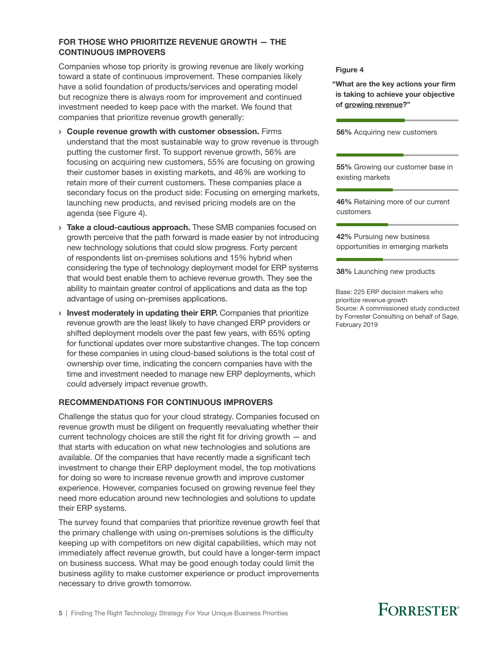#### FOR THOSE WHO PRIORITIZE REVENUE GROWTH — THE CONTINUOUS IMPROVERS

Companies whose top priority is growing revenue are likely working Companies whose top phonty is growing revenue are intery working<br>toward a state of continuous improvement. These companies likely have a solid foundation of products/services and operating model but recognize there is always room for improvement and continued investment needed to keep pace with the market. We found that companies that prioritize revenue growth generally:

- › Couple revenue growth with customer obsession. Firms understand that the most sustainable way to grow revenue is through putting the customer first. To support revenue growth, 56% are focusing on acquiring new customers, 55% are focusing on growing their customer bases in existing markets, and 46% are working to retain more of their current customers. These companies place a secondary focus on the product side: Focusing on emerging markets, launching new products, and revised pricing models are on the agenda (see Figure 4).
- **Take a cloud-cautious approach.** These SMB companies focused on growth perceive that the path forward is made easier by not introducing new technology solutions that could slow progress. Forty percent of respondents list on-premises solutions and 15% hybrid when considering the type of technology deployment model for ERP systems that would best enable them to achieve revenue growth. They see the ability to maintain greater control of applications and data as the top advantage of using on-premises applications.
- > Invest moderately in updating their ERP. Companies that prioritize revenue growth are the least likely to have changed ERP providers or shifted deployment models over the past few years, with 65% opting for functional updates over more substantive changes. The top concern for these companies in using cloud-based solutions is the total cost of ownership over time, indicating the concern companies have with the time and investment needed to manage new ERP deployments, which could adversely impact revenue growth.

### RECOMMENDATIONS FOR CONTINUOUS IMPROVERS

Challenge the status quo for your cloud strategy. Companies focused on revenue growth must be diligent on frequently reevaluating whether their current technology choices are still the right fit for driving growth — and that starts with education on what new technologies and solutions are available. Of the companies that have recently made a significant tech investment to change their ERP deployment model, the top motivations for doing so were to increase revenue growth and improve customer experience. However, companies focused on growing revenue feel they need more education around new technologies and solutions to update their ERP systems.

The survey found that companies that prioritize revenue growth feel that the primary challenge with using on-premises solutions is the difficulty keeping up with competitors on new digital capabilities, which may not immediately affect revenue growth, but could have a longer-term impact on business success. What may be good enough today could limit the business agility to make customer experience or product improvements necessary to drive growth tomorrow.

"What are the key actions your firm is taking to achieve your objective of growing revenue?"

56% Acquiring new customers

55% Growing our customer base in existing markets

46% Retaining more of our current customers

42% Pursuing new business opportunities in emerging markets

38% Launching new products

Base: 225 ERP decision makers who prioritize revenue growth Source: A commissioned study conducted by Forrester Consulting on behalf of Sage, February 2019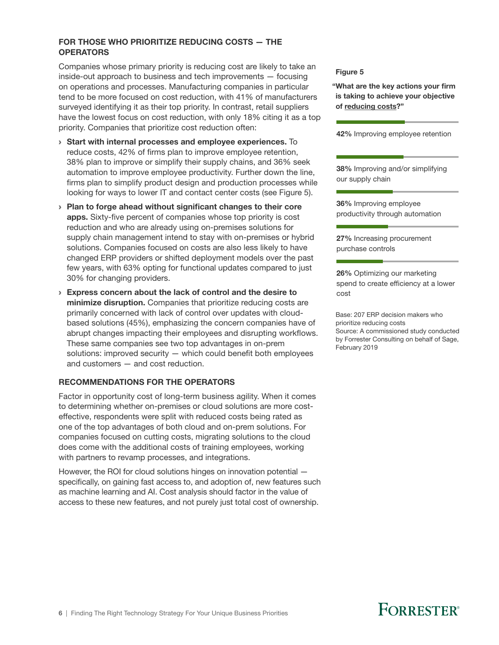#### FOR THOSE WHO PRIORITIZE REDUCING COSTS — THE **OPERATORS**

Companies whose primary priority is reducing cost are likely to take an  $Simpling is the number of points  $\alpha$  and  $\beta$  is the number of points  $\alpha$ .  
\n**Figure 5**$ on operations and processes. Manufacturing companies in particular tend to be more focused on cost reduction, with 41% of manufacturers surveyed identifying it as their top priority. In contrast, retail suppliers have the lowest focus on cost reduction, with only 18% citing it as a top priority. Companies that prioritize cost reduction often:

- › Start with internal processes and employee experiences. To reduce costs, 42% of firms plan to improve employee retention, 38% plan to improve or simplify their supply chains, and 36% seek automation to improve employee productivity. Further down the line, firms plan to simplify product design and production processes while looking for ways to lower IT and contact center costs (see Figure 5).
- › Plan to forge ahead without significant changes to their core apps. Sixty-five percent of companies whose top priority is cost reduction and who are already using on-premises solutions for supply chain management intend to stay with on-premises or hybrid solutions. Companies focused on costs are also less likely to have changed ERP providers or shifted deployment models over the past few years, with 63% opting for functional updates compared to just 30% for changing providers.
- › Express concern about the lack of control and the desire to minimize disruption. Companies that prioritize reducing costs are primarily concerned with lack of control over updates with cloudbased solutions (45%), emphasizing the concern companies have of abrupt changes impacting their employees and disrupting workflows. These same companies see two top advantages in on-prem solutions: improved security — which could benefit both employees and customers — and cost reduction.

### RECOMMENDATIONS FOR THE OPERATORS

Factor in opportunity cost of long-term business agility. When it comes to determining whether on-premises or cloud solutions are more costeffective, respondents were split with reduced costs being rated as one of the top advantages of both cloud and on-prem solutions. For companies focused on cutting costs, migrating solutions to the cloud does come with the additional costs of training employees, working with partners to revamp processes, and integrations.

However, the ROI for cloud solutions hinges on innovation potential specifically, on gaining fast access to, and adoption of, new features such as machine learning and AI. Cost analysis should factor in the value of access to these new features, and not purely just total cost of ownership.

"What are the key actions your firm is taking to achieve your objective of reducing costs?"

42% Improving employee retention

38% Improving and/or simplifying our supply chain

36% Improving employee productivity through automation

27% Increasing procurement purchase controls

26% Optimizing our marketing spend to create efficiency at a lower cost

Base: 207 ERP decision makers who prioritize reducing costs Source: A commissioned study conducted by Forrester Consulting on behalf of Sage, February 2019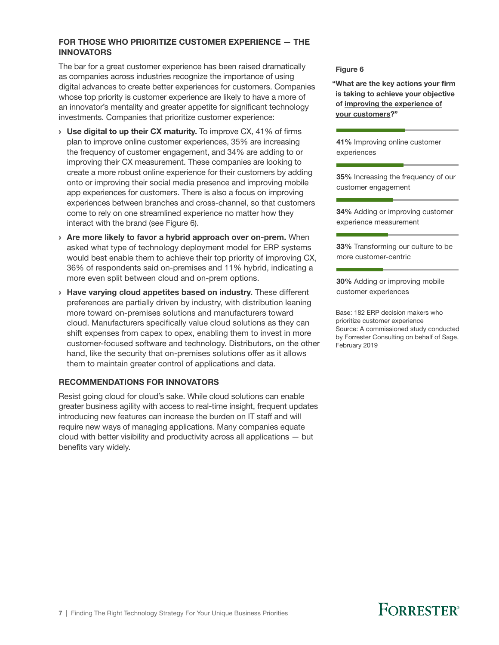#### FOR THOSE WHO PRIORITIZE CUSTOMER EXPERIENCE — THE INNOVATORS

The bar for a great customer experience has been raised dramatically The partier digreat customer experience has been raised dramatically relations to the require 6<br>as companies across industries recognize the importance of using digital advances to create better experiences for customers. Companies whose top priority is customer experience are likely to have a more of an innovator's mentality and greater appetite for significant technology investments. Companies that prioritize customer experience:

- $\rightarrow$  Use digital to up their CX maturity. To improve CX, 41% of firms plan to improve online customer experiences, 35% are increasing the frequency of customer engagement, and 34% are adding to or improving their CX measurement. These companies are looking to create a more robust online experience for their customers by adding onto or improving their social media presence and improving mobile app experiences for customers. There is also a focus on improving experiences between branches and cross-channel, so that customers come to rely on one streamlined experience no matter how they interact with the brand (see Figure 6).
- > Are more likely to favor a hybrid approach over on-prem. When asked what type of technology deployment model for ERP systems would best enable them to achieve their top priority of improving CX, 36% of respondents said on-premises and 11% hybrid, indicating a more even split between cloud and on-prem options.
- › Have varying cloud appetites based on industry. These different preferences are partially driven by industry, with distribution leaning more toward on-premises solutions and manufacturers toward cloud. Manufacturers specifically value cloud solutions as they can shift expenses from capex to opex, enabling them to invest in more customer-focused software and technology. Distributors, on the other hand, like the security that on-premises solutions offer as it allows them to maintain greater control of applications and data.

#### RECOMMENDATIONS FOR INNOVATORS

Resist going cloud for cloud's sake. While cloud solutions can enable greater business agility with access to real-time insight, frequent updates introducing new features can increase the burden on IT staff and will require new ways of managing applications. Many companies equate cloud with better visibility and productivity across all applications — but benefits vary widely.

"What are the key actions your firm is taking to achieve your objective of improving the experience of your customers?"

41% Improving online customer experiences

35% Increasing the frequency of our customer engagement

34% Adding or improving customer experience measurement

33% Transforming our culture to be more customer-centric

30% Adding or improving mobile customer experiences

Base: 182 ERP decision makers who prioritize customer experience Source: A commissioned study conducted by Forrester Consulting on behalf of Sage, February 2019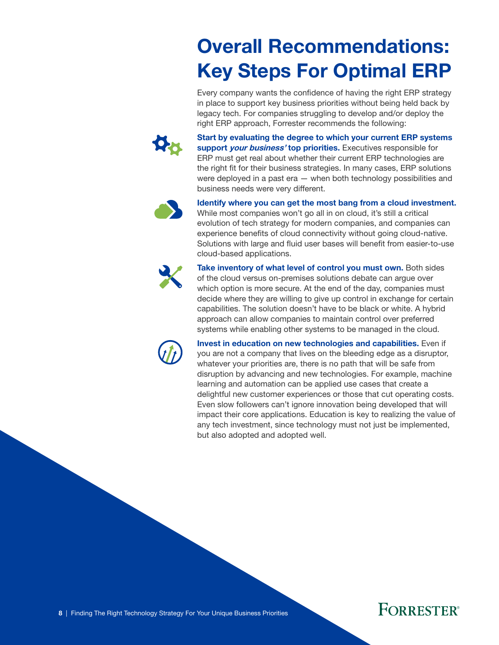# Overall Recommendations: Key Steps For Optimal ERP

Every company wants the confidence of having the right ERP strategy in place to support key business priorities without being held back by legacy tech. For companies struggling to develop and/or deploy the right ERP approach, Forrester recommends the following:

<span id="page-9-0"></span>

Start by evaluating the degree to which your current ERP systems support *your business'* top priorities. Executives responsible for ERP must get real about whether their current ERP technologies are the right fit for their business strategies. In many cases, ERP solutions were deployed in a past era — when both technology possibilities and business needs were very different.



Identify where you can get the most bang from a cloud investment. While most companies won't go all in on cloud, it's still a critical evolution of tech strategy for modern companies, and companies can experience benefits of cloud connectivity without going cloud-native. Solutions with large and fluid user bases will benefit from easier-to-use cloud-based applications.



Take inventory of what level of control you must own. Both sides of the cloud versus on-premises solutions debate can argue over which option is more secure. At the end of the day, companies must decide where they are willing to give up control in exchange for certain capabilities. The solution doesn't have to be black or white. A hybrid approach can allow companies to maintain control over preferred systems while enabling other systems to be managed in the cloud.



Invest in education on new technologies and capabilities. Even if you are not a company that lives on the bleeding edge as a disruptor, whatever your priorities are, there is no path that will be safe from disruption by advancing and new technologies. For example, machine learning and automation can be applied use cases that create a delightful new customer experiences or those that cut operating costs. Even slow followers can't ignore innovation being developed that will impact their core applications. Education is key to realizing the value of any tech investment, since technology must not just be implemented, but also adopted and adopted well.

### **FORRESTER**®

8 | Finding The Right Technology Strategy For Your Unique Business Priorities